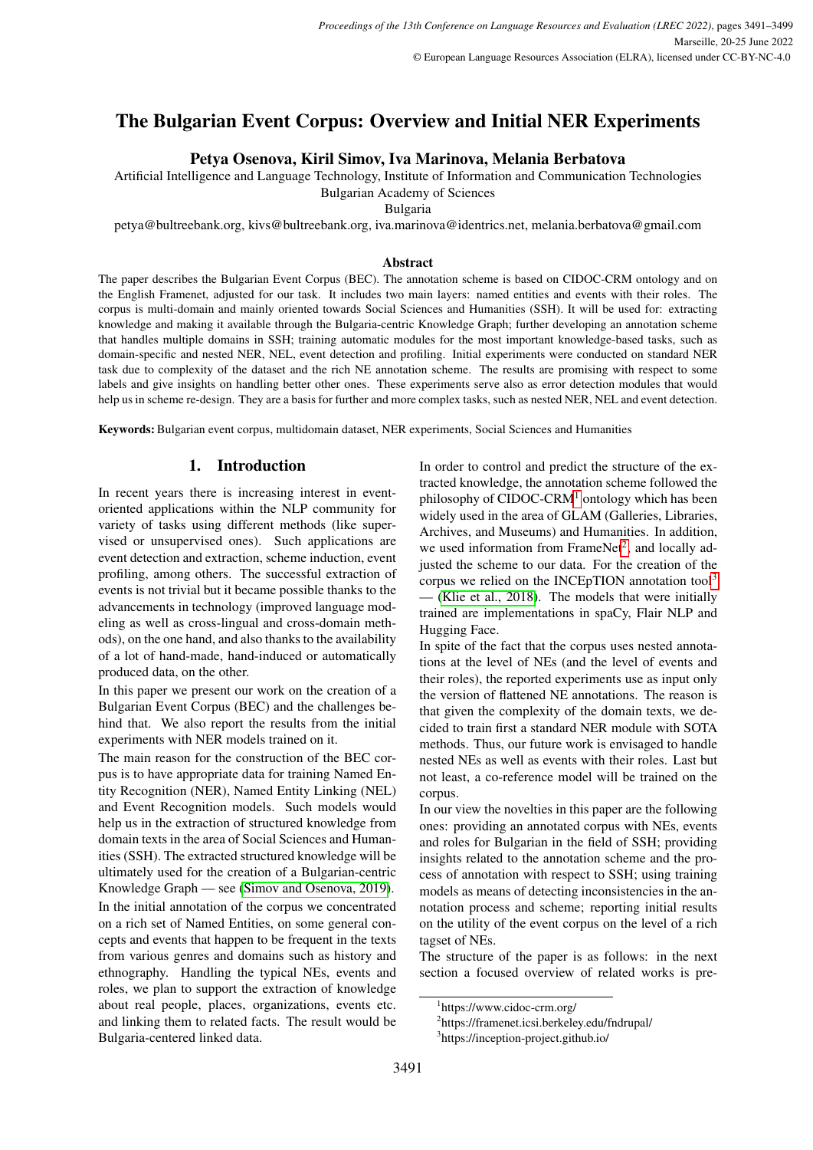# The Bulgarian Event Corpus: Overview and Initial NER Experiments

# Petya Osenova, Kiril Simov, Iva Marinova, Melania Berbatova

Artificial Intelligence and Language Technology, Institute of Information and Communication Technologies

Bulgarian Academy of Sciences

Bulgaria

petya@bultreebank.org, kivs@bultreebank.org, iva.marinova@identrics.net, melania.berbatova@gmail.com

#### Abstract

The paper describes the Bulgarian Event Corpus (BEC). The annotation scheme is based on CIDOC-CRM ontology and on the English Framenet, adjusted for our task. It includes two main layers: named entities and events with their roles. The corpus is multi-domain and mainly oriented towards Social Sciences and Humanities (SSH). It will be used for: extracting knowledge and making it available through the Bulgaria-centric Knowledge Graph; further developing an annotation scheme that handles multiple domains in SSH; training automatic modules for the most important knowledge-based tasks, such as domain-specific and nested NER, NEL, event detection and profiling. Initial experiments were conducted on standard NER task due to complexity of the dataset and the rich NE annotation scheme. The results are promising with respect to some labels and give insights on handling better other ones. These experiments serve also as error detection modules that would help us in scheme re-design. They are a basis for further and more complex tasks, such as nested NER, NEL and event detection.

Keywords: Bulgarian event corpus, multidomain dataset, NER experiments, Social Sciences and Humanities

# 1. Introduction

In recent years there is increasing interest in eventoriented applications within the NLP community for variety of tasks using different methods (like supervised or unsupervised ones). Such applications are event detection and extraction, scheme induction, event profiling, among others. The successful extraction of events is not trivial but it became possible thanks to the advancements in technology (improved language modeling as well as cross-lingual and cross-domain methods), on the one hand, and also thanks to the availability of a lot of hand-made, hand-induced or automatically produced data, on the other.

In this paper we present our work on the creation of a Bulgarian Event Corpus (BEC) and the challenges behind that. We also report the results from the initial experiments with NER models trained on it.

The main reason for the construction of the BEC corpus is to have appropriate data for training Named Entity Recognition (NER), Named Entity Linking (NEL) and Event Recognition models. Such models would help us in the extraction of structured knowledge from domain texts in the area of Social Sciences and Humanities (SSH). The extracted structured knowledge will be ultimately used for the creation of a Bulgarian-centric Knowledge Graph — see [\(Simov and Osenova, 2019\)](#page-8-0). In the initial annotation of the corpus we concentrated on a rich set of Named Entities, on some general concepts and events that happen to be frequent in the texts from various genres and domains such as history and ethnography. Handling the typical NEs, events and roles, we plan to support the extraction of knowledge about real people, places, organizations, events etc. and linking them to related facts. The result would be Bulgaria-centered linked data.

In order to control and predict the structure of the extracted knowledge, the annotation scheme followed the philosophy of CIDOC-CRM[1](#page-0-0) ontology which has been widely used in the area of GLAM (Galleries, Libraries, Archives, and Museums) and Humanities. In addition, we used information from FrameNet<sup>[2](#page-0-1)</sup>, and locally adjusted the scheme to our data. For the creation of the corpus we relied on the INCEpTION annotation tool<sup>[3](#page-0-2)</sup> — [\(Klie et al., 2018\)](#page-8-1). The models that were initially trained are implementations in spaCy, Flair NLP and Hugging Face.

In spite of the fact that the corpus uses nested annotations at the level of NEs (and the level of events and their roles), the reported experiments use as input only the version of flattened NE annotations. The reason is that given the complexity of the domain texts, we decided to train first a standard NER module with SOTA methods. Thus, our future work is envisaged to handle nested NEs as well as events with their roles. Last but not least, a co-reference model will be trained on the corpus.

In our view the novelties in this paper are the following ones: providing an annotated corpus with NEs, events and roles for Bulgarian in the field of SSH; providing insights related to the annotation scheme and the process of annotation with respect to SSH; using training models as means of detecting inconsistencies in the annotation process and scheme; reporting initial results on the utility of the event corpus on the level of a rich tagset of NEs.

The structure of the paper is as follows: in the next section a focused overview of related works is pre-

<span id="page-0-0"></span><sup>1</sup> https://www.cidoc-crm.org/

<span id="page-0-1"></span><sup>2</sup> https://framenet.icsi.berkeley.edu/fndrupal/

<span id="page-0-2"></span><sup>3</sup> https://inception-project.github.io/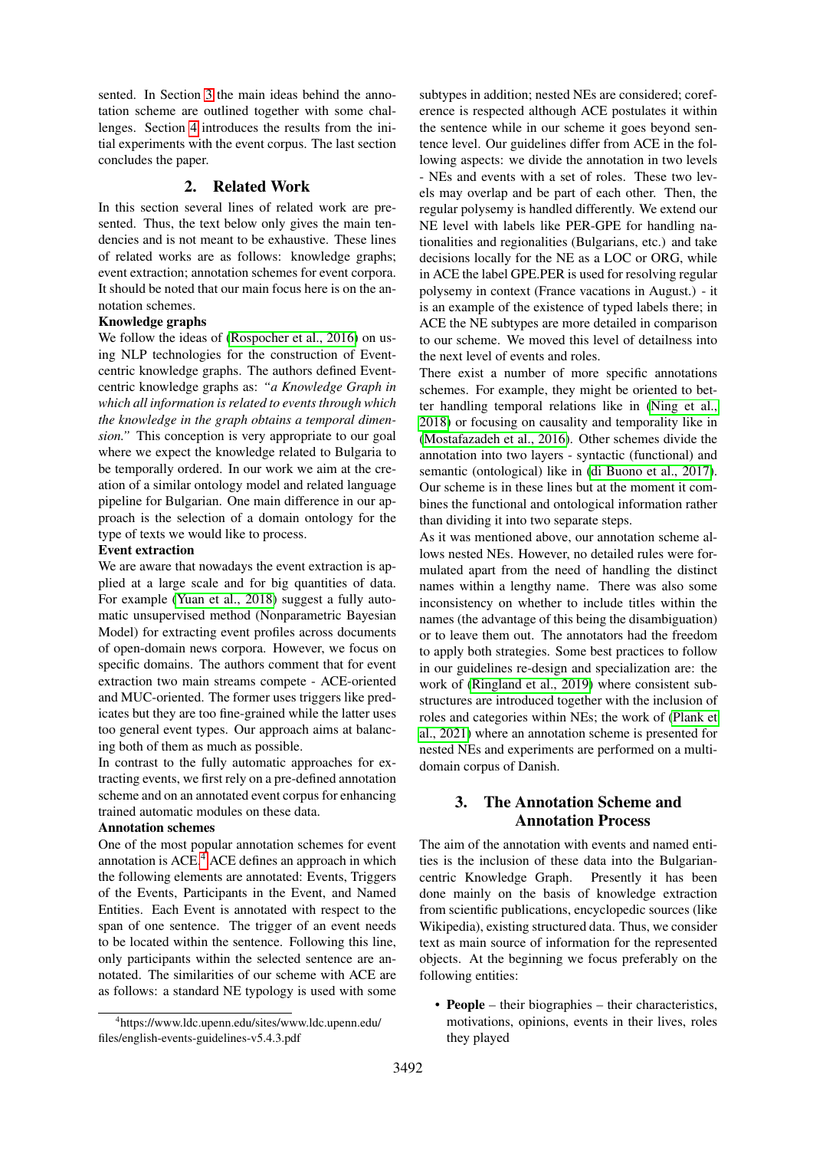sented. In Section [3](#page-1-0) the main ideas behind the annotation scheme are outlined together with some challenges. Section [4](#page-5-0) introduces the results from the initial experiments with the event corpus. The last section concludes the paper.

## 2. Related Work

In this section several lines of related work are presented. Thus, the text below only gives the main tendencies and is not meant to be exhaustive. These lines of related works are as follows: knowledge graphs; event extraction; annotation schemes for event corpora. It should be noted that our main focus here is on the annotation schemes.

### Knowledge graphs

We follow the ideas of [\(Rospocher et al., 2016\)](#page-8-2) on using NLP technologies for the construction of Eventcentric knowledge graphs. The authors defined Eventcentric knowledge graphs as: *"a Knowledge Graph in which all information is related to events through which the knowledge in the graph obtains a temporal dimension."* This conception is very appropriate to our goal where we expect the knowledge related to Bulgaria to be temporally ordered. In our work we aim at the creation of a similar ontology model and related language pipeline for Bulgarian. One main difference in our approach is the selection of a domain ontology for the type of texts we would like to process.

#### Event extraction

We are aware that nowadays the event extraction is applied at a large scale and for big quantities of data. For example [\(Yuan et al., 2018\)](#page-8-3) suggest a fully automatic unsupervised method (Nonparametric Bayesian Model) for extracting event profiles across documents of open-domain news corpora. However, we focus on specific domains. The authors comment that for event extraction two main streams compete - ACE-oriented and MUC-oriented. The former uses triggers like predicates but they are too fine-grained while the latter uses too general event types. Our approach aims at balancing both of them as much as possible.

In contrast to the fully automatic approaches for extracting events, we first rely on a pre-defined annotation scheme and on an annotated event corpus for enhancing trained automatic modules on these data.

#### Annotation schemes

One of the most popular annotation schemes for event annotation is  $ACE<sup>4</sup>$  $ACE<sup>4</sup>$  $ACE<sup>4</sup>$  ACE defines an approach in which the following elements are annotated: Events, Triggers of the Events, Participants in the Event, and Named Entities. Each Event is annotated with respect to the span of one sentence. The trigger of an event needs to be located within the sentence. Following this line, only participants within the selected sentence are annotated. The similarities of our scheme with ACE are as follows: a standard NE typology is used with some

subtypes in addition; nested NEs are considered; coreference is respected although ACE postulates it within the sentence while in our scheme it goes beyond sentence level. Our guidelines differ from ACE in the following aspects: we divide the annotation in two levels - NEs and events with a set of roles. These two levels may overlap and be part of each other. Then, the regular polysemy is handled differently. We extend our NE level with labels like PER-GPE for handling nationalities and regionalities (Bulgarians, etc.) and take decisions locally for the NE as a LOC or ORG, while in ACE the label GPE.PER is used for resolving regular polysemy in context (France vacations in August.) - it is an example of the existence of typed labels there; in ACE the NE subtypes are more detailed in comparison to our scheme. We moved this level of detailness into the next level of events and roles.

There exist a number of more specific annotations schemes. For example, they might be oriented to better handling temporal relations like in [\(Ning et al.,](#page-8-4) [2018\)](#page-8-4) or focusing on causality and temporality like in [\(Mostafazadeh et al., 2016\)](#page-8-5). Other schemes divide the annotation into two layers - syntactic (functional) and semantic (ontological) like in [\(di Buono et al., 2017\)](#page-7-0). Our scheme is in these lines but at the moment it combines the functional and ontological information rather than dividing it into two separate steps.

As it was mentioned above, our annotation scheme allows nested NEs. However, no detailed rules were formulated apart from the need of handling the distinct names within a lengthy name. There was also some inconsistency on whether to include titles within the names (the advantage of this being the disambiguation) or to leave them out. The annotators had the freedom to apply both strategies. Some best practices to follow in our guidelines re-design and specialization are: the work of [\(Ringland et al., 2019\)](#page-8-6) where consistent substructures are introduced together with the inclusion of roles and categories within NEs; the work of [\(Plank et](#page-8-7) [al., 2021\)](#page-8-7) where an annotation scheme is presented for nested NEs and experiments are performed on a multidomain corpus of Danish.

# <span id="page-1-0"></span>3. The Annotation Scheme and Annotation Process

The aim of the annotation with events and named entities is the inclusion of these data into the Bulgariancentric Knowledge Graph. Presently it has been done mainly on the basis of knowledge extraction from scientific publications, encyclopedic sources (like Wikipedia), existing structured data. Thus, we consider text as main source of information for the represented objects. At the beginning we focus preferably on the following entities:

• People – their biographies – their characteristics, motivations, opinions, events in their lives, roles they played

<span id="page-1-1"></span><sup>4</sup> https://www.ldc.upenn.edu/sites/www.ldc.upenn.edu/ files/english-events-guidelines-v5.4.3.pdf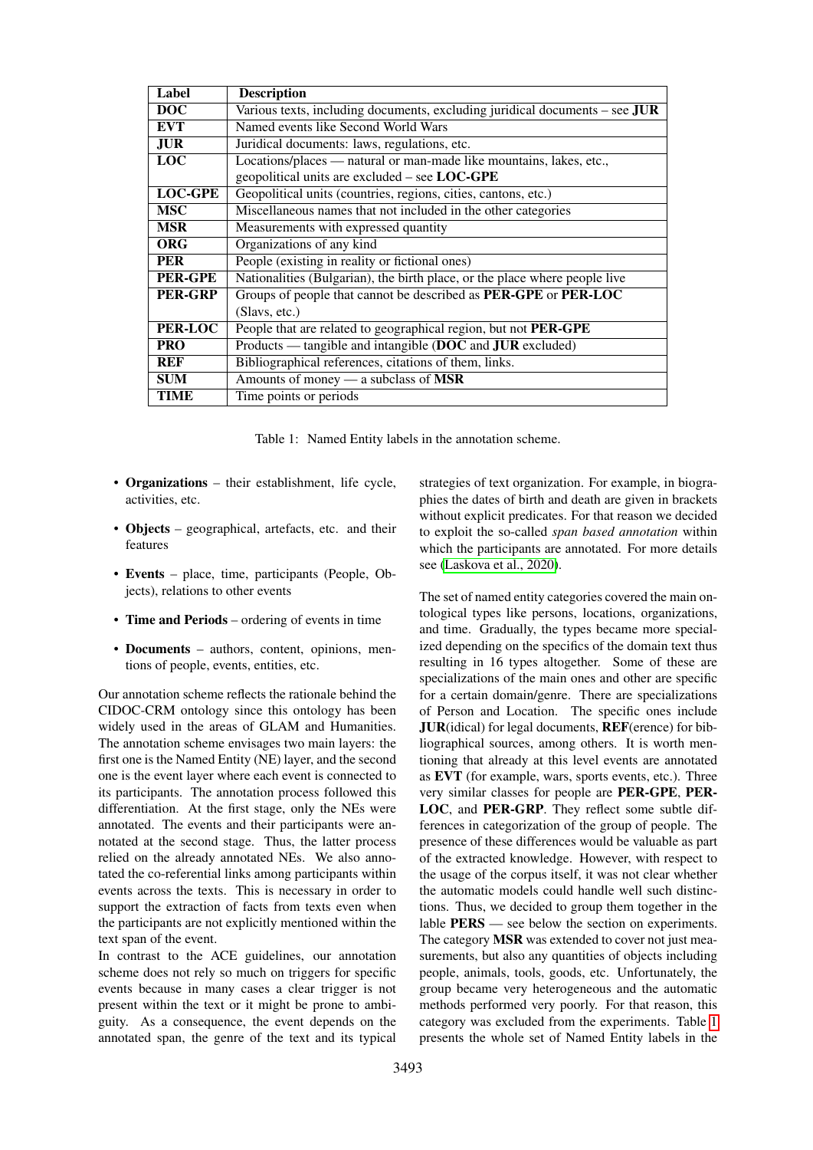| Label          | <b>Description</b>                                                            |  |  |  |  |  |
|----------------|-------------------------------------------------------------------------------|--|--|--|--|--|
| <b>DOC</b>     | Various texts, including documents, excluding juridical documents – see $JUR$ |  |  |  |  |  |
| <b>EVT</b>     | Named events like Second World Wars                                           |  |  |  |  |  |
| <b>JUR</b>     | Juridical documents: laws, regulations, etc.                                  |  |  |  |  |  |
| <b>LOC</b>     | Locations/places — natural or man-made like mountains, lakes, etc.,           |  |  |  |  |  |
|                | geopolitical units are excluded $-$ see LOC-GPE                               |  |  |  |  |  |
| <b>LOC-GPE</b> | Geopolitical units (countries, regions, cities, cantons, etc.)                |  |  |  |  |  |
| <b>MSC</b>     | Miscellaneous names that not included in the other categories                 |  |  |  |  |  |
| <b>MSR</b>     | Measurements with expressed quantity                                          |  |  |  |  |  |
| <b>ORG</b>     | Organizations of any kind                                                     |  |  |  |  |  |
| <b>PER</b>     | People (existing in reality or fictional ones)                                |  |  |  |  |  |
| <b>PER-GPE</b> | Nationalities (Bulgarian), the birth place, or the place where people live    |  |  |  |  |  |
| <b>PER-GRP</b> | Groups of people that cannot be described as <b>PER-GPE</b> or <b>PER-LOC</b> |  |  |  |  |  |
|                | (Slavs, etc.)                                                                 |  |  |  |  |  |
| PER-LOC        | People that are related to geographical region, but not PER-GPE               |  |  |  |  |  |
| <b>PRO</b>     | Products — tangible and intangible (DOC and JUR excluded)                     |  |  |  |  |  |
| REF            | Bibliographical references, citations of them, links.                         |  |  |  |  |  |
| <b>SUM</b>     | Amounts of money $-$ a subclass of MSR                                        |  |  |  |  |  |
| TIME           | Time points or periods                                                        |  |  |  |  |  |

<span id="page-2-0"></span>Table 1: Named Entity labels in the annotation scheme.

- Organizations their establishment, life cycle, activities, etc.
- Objects geographical, artefacts, etc. and their features
- Events place, time, participants (People, Objects), relations to other events
- Time and Periods ordering of events in time
- Documents authors, content, opinions, mentions of people, events, entities, etc.

Our annotation scheme reflects the rationale behind the CIDOC-CRM ontology since this ontology has been widely used in the areas of GLAM and Humanities. The annotation scheme envisages two main layers: the first one is the Named Entity (NE) layer, and the second one is the event layer where each event is connected to its participants. The annotation process followed this differentiation. At the first stage, only the NEs were annotated. The events and their participants were annotated at the second stage. Thus, the latter process relied on the already annotated NEs. We also annotated the co-referential links among participants within events across the texts. This is necessary in order to support the extraction of facts from texts even when the participants are not explicitly mentioned within the text span of the event.

In contrast to the ACE guidelines, our annotation scheme does not rely so much on triggers for specific events because in many cases a clear trigger is not present within the text or it might be prone to ambiguity. As a consequence, the event depends on the annotated span, the genre of the text and its typical

strategies of text organization. For example, in biographies the dates of birth and death are given in brackets without explicit predicates. For that reason we decided to exploit the so-called *span based annotation* within which the participants are annotated. For more details see [\(Laskova et al., 2020\)](#page-8-8).

The set of named entity categories covered the main ontological types like persons, locations, organizations, and time. Gradually, the types became more specialized depending on the specifics of the domain text thus resulting in 16 types altogether. Some of these are specializations of the main ones and other are specific for a certain domain/genre. There are specializations of Person and Location. The specific ones include JUR(idical) for legal documents, REF(erence) for bibliographical sources, among others. It is worth mentioning that already at this level events are annotated as EVT (for example, wars, sports events, etc.). Three very similar classes for people are PER-GPE, PER-LOC, and PER-GRP. They reflect some subtle differences in categorization of the group of people. The presence of these differences would be valuable as part of the extracted knowledge. However, with respect to the usage of the corpus itself, it was not clear whether the automatic models could handle well such distinctions. Thus, we decided to group them together in the lable PERS — see below the section on experiments. The category **MSR** was extended to cover not just measurements, but also any quantities of objects including people, animals, tools, goods, etc. Unfortunately, the group became very heterogeneous and the automatic methods performed very poorly. For that reason, this category was excluded from the experiments. Table [1](#page-2-0) presents the whole set of Named Entity labels in the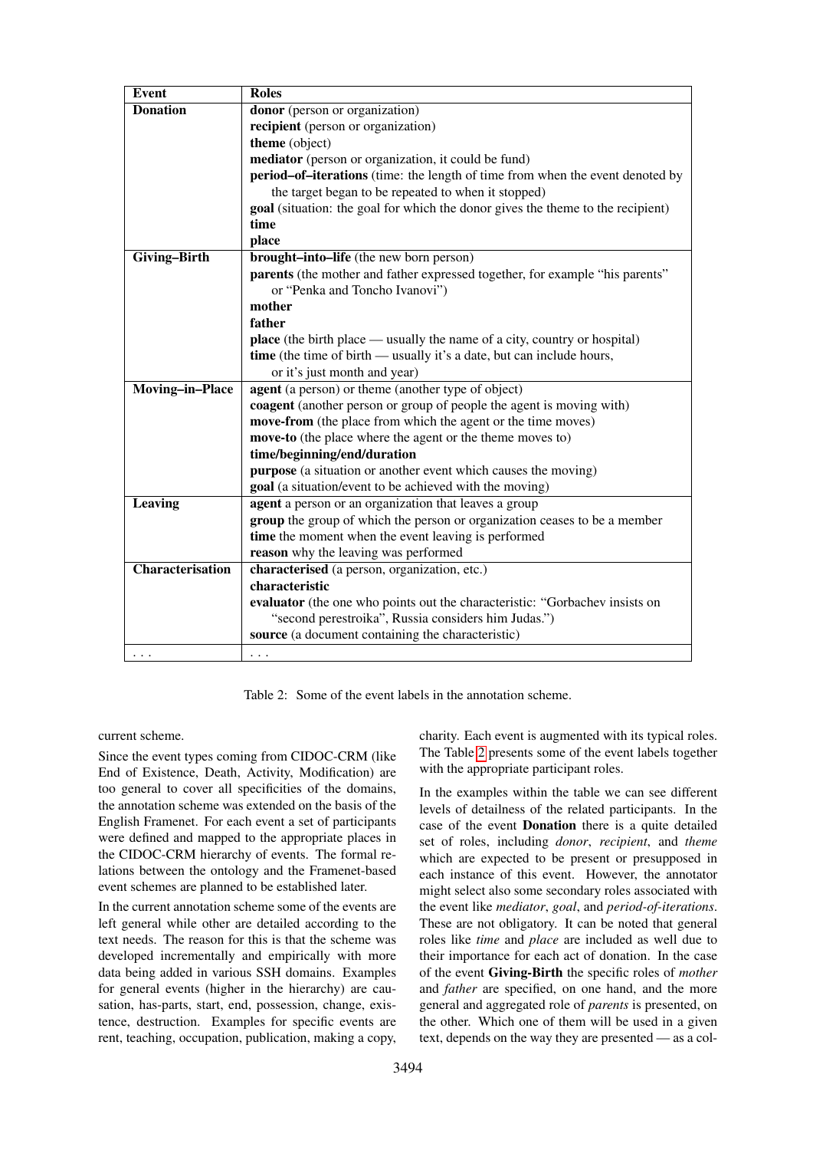| <b>Event</b>            | <b>Roles</b>                                                                     |  |  |  |  |  |  |  |
|-------------------------|----------------------------------------------------------------------------------|--|--|--|--|--|--|--|
| <b>Donation</b>         | donor (person or organization)                                                   |  |  |  |  |  |  |  |
|                         | recipient (person or organization)                                               |  |  |  |  |  |  |  |
|                         | theme (object)                                                                   |  |  |  |  |  |  |  |
|                         | mediator (person or organization, it could be fund)                              |  |  |  |  |  |  |  |
|                         | period-of-iterations (time: the length of time from when the event denoted by    |  |  |  |  |  |  |  |
|                         | the target began to be repeated to when it stopped)                              |  |  |  |  |  |  |  |
|                         | goal (situation: the goal for which the donor gives the theme to the recipient)  |  |  |  |  |  |  |  |
|                         | time                                                                             |  |  |  |  |  |  |  |
|                         | place                                                                            |  |  |  |  |  |  |  |
| <b>Giving-Birth</b>     | <b>brought-into-life</b> (the new born person)                                   |  |  |  |  |  |  |  |
|                         | parents (the mother and father expressed together, for example "his parents"     |  |  |  |  |  |  |  |
|                         | or "Penka and Toncho Ivanovi")                                                   |  |  |  |  |  |  |  |
|                         | mother                                                                           |  |  |  |  |  |  |  |
|                         | father                                                                           |  |  |  |  |  |  |  |
|                         | <b>place</b> (the birth place — usually the name of a city, country or hospital) |  |  |  |  |  |  |  |
|                         | time (the time of birth — usually it's a date, but can include hours,            |  |  |  |  |  |  |  |
|                         | or it's just month and year)                                                     |  |  |  |  |  |  |  |
| <b>Moving-in-Place</b>  | agent (a person) or theme (another type of object)                               |  |  |  |  |  |  |  |
|                         | coagent (another person or group of people the agent is moving with)             |  |  |  |  |  |  |  |
|                         | move-from (the place from which the agent or the time moves)                     |  |  |  |  |  |  |  |
|                         | move-to (the place where the agent or the theme moves to)                        |  |  |  |  |  |  |  |
|                         | time/beginning/end/duration                                                      |  |  |  |  |  |  |  |
|                         | purpose (a situation or another event which causes the moving)                   |  |  |  |  |  |  |  |
|                         | goal (a situation/event to be achieved with the moving)                          |  |  |  |  |  |  |  |
| Leaving                 | agent a person or an organization that leaves a group                            |  |  |  |  |  |  |  |
|                         | group the group of which the person or organization ceases to be a member        |  |  |  |  |  |  |  |
|                         | time the moment when the event leaving is performed                              |  |  |  |  |  |  |  |
|                         | reason why the leaving was performed                                             |  |  |  |  |  |  |  |
| <b>Characterisation</b> | characterised (a person, organization, etc.)                                     |  |  |  |  |  |  |  |
|                         | characteristic                                                                   |  |  |  |  |  |  |  |
|                         | evaluator (the one who points out the characteristic: "Gorbachev insists on      |  |  |  |  |  |  |  |
|                         | "second perestroika", Russia considers him Judas.")                              |  |  |  |  |  |  |  |
|                         | source (a document containing the characteristic)                                |  |  |  |  |  |  |  |
| $\cdots$                | $\cdots$                                                                         |  |  |  |  |  |  |  |

<span id="page-3-0"></span>Table 2: Some of the event labels in the annotation scheme.

current scheme.

Since the event types coming from CIDOC-CRM (like End of Existence, Death, Activity, Modification) are too general to cover all specificities of the domains, the annotation scheme was extended on the basis of the English Framenet. For each event a set of participants were defined and mapped to the appropriate places in the CIDOC-CRM hierarchy of events. The formal relations between the ontology and the Framenet-based event schemes are planned to be established later.

In the current annotation scheme some of the events are left general while other are detailed according to the text needs. The reason for this is that the scheme was developed incrementally and empirically with more data being added in various SSH domains. Examples for general events (higher in the hierarchy) are causation, has-parts, start, end, possession, change, existence, destruction. Examples for specific events are rent, teaching, occupation, publication, making a copy,

charity. Each event is augmented with its typical roles. The Table [2](#page-3-0) presents some of the event labels together with the appropriate participant roles.

In the examples within the table we can see different levels of detailness of the related participants. In the case of the event Donation there is a quite detailed set of roles, including *donor*, *recipient*, and *theme* which are expected to be present or presupposed in each instance of this event. However, the annotator might select also some secondary roles associated with the event like *mediator*, *goal*, and *period-of-iterations*. These are not obligatory. It can be noted that general roles like *time* and *place* are included as well due to their importance for each act of donation. In the case of the event Giving-Birth the specific roles of *mother* and *father* are specified, on one hand, and the more general and aggregated role of *parents* is presented, on the other. Which one of them will be used in a given text, depends on the way they are presented — as a col-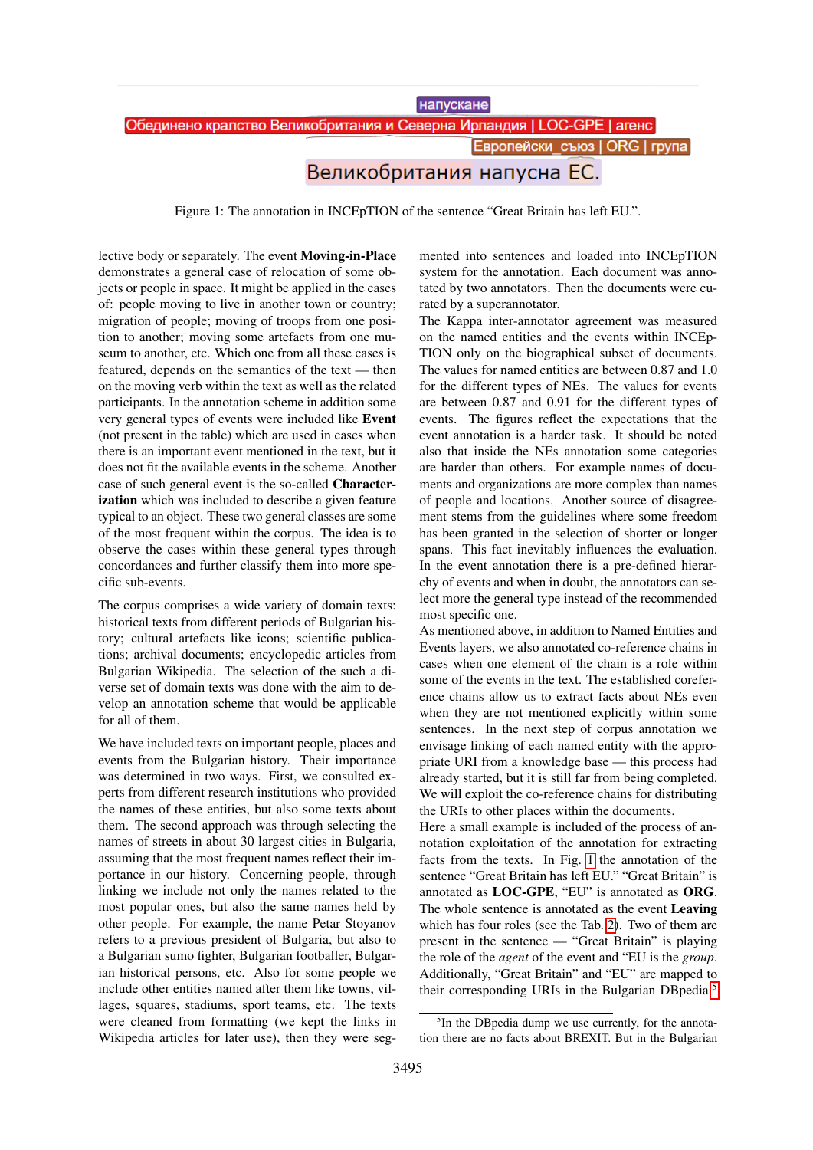напускане

Обединено кралство Великобритания и Северна Ирландия | LOC-GPE | агенс

**Европейски съюз | ORG | група** 

# Великобритания напусна ЕС.

<span id="page-4-0"></span>Figure 1: The annotation in INCEpTION of the sentence "Great Britain has left EU.".

lective body or separately. The event Moving-in-Place demonstrates a general case of relocation of some objects or people in space. It might be applied in the cases of: people moving to live in another town or country; migration of people; moving of troops from one position to another; moving some artefacts from one museum to another, etc. Which one from all these cases is featured, depends on the semantics of the text — then on the moving verb within the text as well as the related participants. In the annotation scheme in addition some very general types of events were included like Event (not present in the table) which are used in cases when there is an important event mentioned in the text, but it does not fit the available events in the scheme. Another case of such general event is the so-called Characterization which was included to describe a given feature typical to an object. These two general classes are some of the most frequent within the corpus. The idea is to observe the cases within these general types through concordances and further classify them into more specific sub-events.

The corpus comprises a wide variety of domain texts: historical texts from different periods of Bulgarian history; cultural artefacts like icons; scientific publications; archival documents; encyclopedic articles from Bulgarian Wikipedia. The selection of the such a diverse set of domain texts was done with the aim to develop an annotation scheme that would be applicable for all of them.

We have included texts on important people, places and events from the Bulgarian history. Their importance was determined in two ways. First, we consulted experts from different research institutions who provided the names of these entities, but also some texts about them. The second approach was through selecting the names of streets in about 30 largest cities in Bulgaria, assuming that the most frequent names reflect their importance in our history. Concerning people, through linking we include not only the names related to the most popular ones, but also the same names held by other people. For example, the name Petar Stoyanov refers to a previous president of Bulgaria, but also to a Bulgarian sumo fighter, Bulgarian footballer, Bulgarian historical persons, etc. Also for some people we include other entities named after them like towns, villages, squares, stadiums, sport teams, etc. The texts were cleaned from formatting (we kept the links in Wikipedia articles for later use), then they were segmented into sentences and loaded into INCEpTION system for the annotation. Each document was annotated by two annotators. Then the documents were curated by a superannotator.

The Kappa inter-annotator agreement was measured on the named entities and the events within INCEp-TION only on the biographical subset of documents. The values for named entities are between 0.87 and 1.0 for the different types of NEs. The values for events are between 0.87 and 0.91 for the different types of events. The figures reflect the expectations that the event annotation is a harder task. It should be noted also that inside the NEs annotation some categories are harder than others. For example names of documents and organizations are more complex than names of people and locations. Another source of disagreement stems from the guidelines where some freedom has been granted in the selection of shorter or longer spans. This fact inevitably influences the evaluation. In the event annotation there is a pre-defined hierarchy of events and when in doubt, the annotators can select more the general type instead of the recommended most specific one.

As mentioned above, in addition to Named Entities and Events layers, we also annotated co-reference chains in cases when one element of the chain is a role within some of the events in the text. The established coreference chains allow us to extract facts about NEs even when they are not mentioned explicitly within some sentences. In the next step of corpus annotation we envisage linking of each named entity with the appropriate URI from a knowledge base — this process had already started, but it is still far from being completed. We will exploit the co-reference chains for distributing the URIs to other places within the documents.

Here a small example is included of the process of annotation exploitation of the annotation for extracting facts from the texts. In Fig. [1](#page-4-0) the annotation of the sentence "Great Britain has left EU." "Great Britain" is annotated as LOC-GPE, "EU" is annotated as ORG. The whole sentence is annotated as the event Leaving which has four roles (see the Tab. [2\)](#page-3-0). Two of them are present in the sentence — "Great Britain" is playing the role of the *agent* of the event and "EU is the *group*. Additionally, "Great Britain" and "EU" are mapped to their corresponding URIs in the Bulgarian DBpedia.[5](#page-4-1)

<span id="page-4-1"></span><sup>&</sup>lt;sup>5</sup>In the DBpedia dump we use currently, for the annotation there are no facts about BREXIT. But in the Bulgarian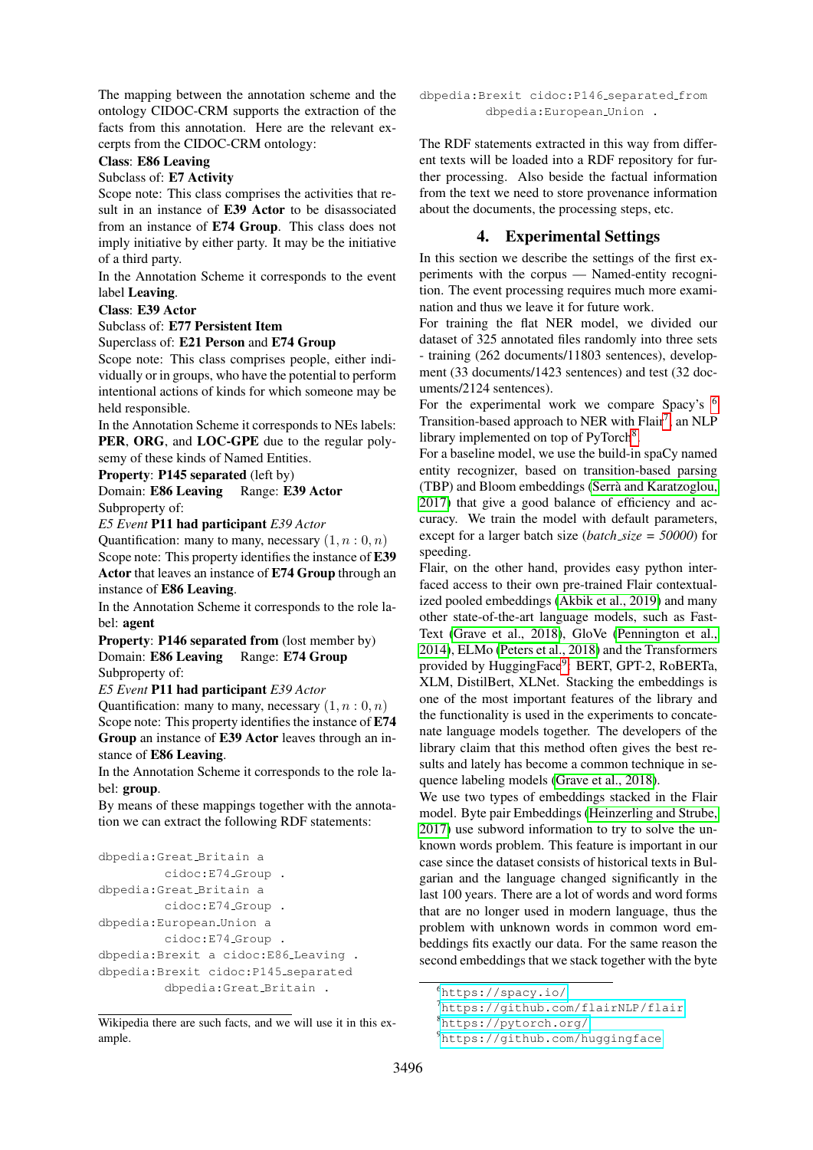The mapping between the annotation scheme and the ontology CIDOC-CRM supports the extraction of the facts from this annotation. Here are the relevant excerpts from the CIDOC-CRM ontology:

#### Class: E86 Leaving

#### Subclass of: E7 Activity

Scope note: This class comprises the activities that result in an instance of E39 Actor to be disassociated from an instance of E74 Group. This class does not imply initiative by either party. It may be the initiative of a third party.

In the Annotation Scheme it corresponds to the event label Leaving.

#### Class: E39 Actor

### Subclass of: E77 Persistent Item

Superclass of: E21 Person and E74 Group

Scope note: This class comprises people, either individually or in groups, who have the potential to perform intentional actions of kinds for which someone may be held responsible.

In the Annotation Scheme it corresponds to NEs labels: PER, ORG, and LOC-GPE due to the regular polysemy of these kinds of Named Entities.

Property: P145 separated (left by)

Domain: E86 Leaving Range: E39 Actor Subproperty of:

*E5 Event* P11 had participant *E39 Actor*

Quantification: many to many, necessary  $(1, n : 0, n)$ Scope note: This property identifies the instance of E39 Actor that leaves an instance of E74 Group through an instance of E86 Leaving.

In the Annotation Scheme it corresponds to the role label: agent

Property: P146 separated from (lost member by) Domain: E86 Leaving Range: E74 Group Subproperty of:

*E5 Event* P11 had participant *E39 Actor*

Quantification: many to many, necessary  $(1, n : 0, n)$ Scope note: This property identifies the instance of E74 Group an instance of E39 Actor leaves through an instance of E86 Leaving.

In the Annotation Scheme it corresponds to the role label: group.

By means of these mappings together with the annotation we can extract the following RDF statements:

```
dbpedia:Great Britain a
         cidoc:E74 Group .
dbpedia:Great Britain a
         cidoc:E74 Group .
dbpedia:European Union a
         cidoc:E74 Group .
dbpedia:Brexit a cidoc:E86 Leaving .
dbpedia:Brexit cidoc:P145 separated
         dbpedia:Great Britain .
```
Wikipedia there are such facts, and we will use it in this example.

dbpedia:Brexit cidoc:P146\_separated\_from dbpedia: European Union.

The RDF statements extracted in this way from different texts will be loaded into a RDF repository for further processing. Also beside the factual information from the text we need to store provenance information about the documents, the processing steps, etc.

## 4. Experimental Settings

<span id="page-5-0"></span>In this section we describe the settings of the first experiments with the corpus — Named-entity recognition. The event processing requires much more examination and thus we leave it for future work.

For training the flat NER model, we divided our dataset of 325 annotated files randomly into three sets - training (262 documents/11803 sentences), development (33 documents/1423 sentences) and test (32 documents/2124 sentences).

For the experimental work we compare Spacy's  $6$ Transition-based approach to NER with Flair<sup>[7](#page-5-2)</sup>, an NLP library implemented on top of PyTorch<sup>[8](#page-5-3)</sup>.

For a baseline model, we use the build-in spaCy named entity recognizer, based on transition-based parsing (TBP) and Bloom embeddings [\(Serra and Karatzoglou,](#page-8-9) ` [2017\)](#page-8-9) that give a good balance of efficiency and accuracy. We train the model with default parameters, except for a larger batch size (*batch size = 50000*) for speeding.

Flair, on the other hand, provides easy python interfaced access to their own pre-trained Flair contextualized pooled embeddings [\(Akbik et al., 2019\)](#page-7-1) and many other state-of-the-art language models, such as Fast-Text [\(Grave et al., 2018\)](#page-8-10), GloVe [\(Pennington et al.,](#page-8-11) [2014\)](#page-8-11), ELMo [\(Peters et al., 2018\)](#page-8-12) and the Transformers provided by HuggingFace<sup>[9](#page-5-4)</sup>: BERT, GPT-2, RoBERTa, XLM, DistilBert, XLNet. Stacking the embeddings is one of the most important features of the library and the functionality is used in the experiments to concatenate language models together. The developers of the library claim that this method often gives the best results and lately has become a common technique in sequence labeling models [\(Grave et al., 2018\)](#page-8-10).

We use two types of embeddings stacked in the Flair model. Byte pair Embeddings [\(Heinzerling and Strube,](#page-8-13) [2017\)](#page-8-13) use subword information to try to solve the unknown words problem. This feature is important in our case since the dataset consists of historical texts in Bulgarian and the language changed significantly in the last 100 years. There are a lot of words and word forms that are no longer used in modern language, thus the problem with unknown words in common word embeddings fits exactly our data. For the same reason the second embeddings that we stack together with the byte

<span id="page-5-1"></span><sup>6</sup><https://spacy.io/>

<span id="page-5-2"></span><sup>7</sup><https://github.com/flairNLP/flair>

<span id="page-5-3"></span><sup>8</sup><https://pytorch.org/>

<span id="page-5-4"></span><sup>9</sup><https://github.com/huggingface>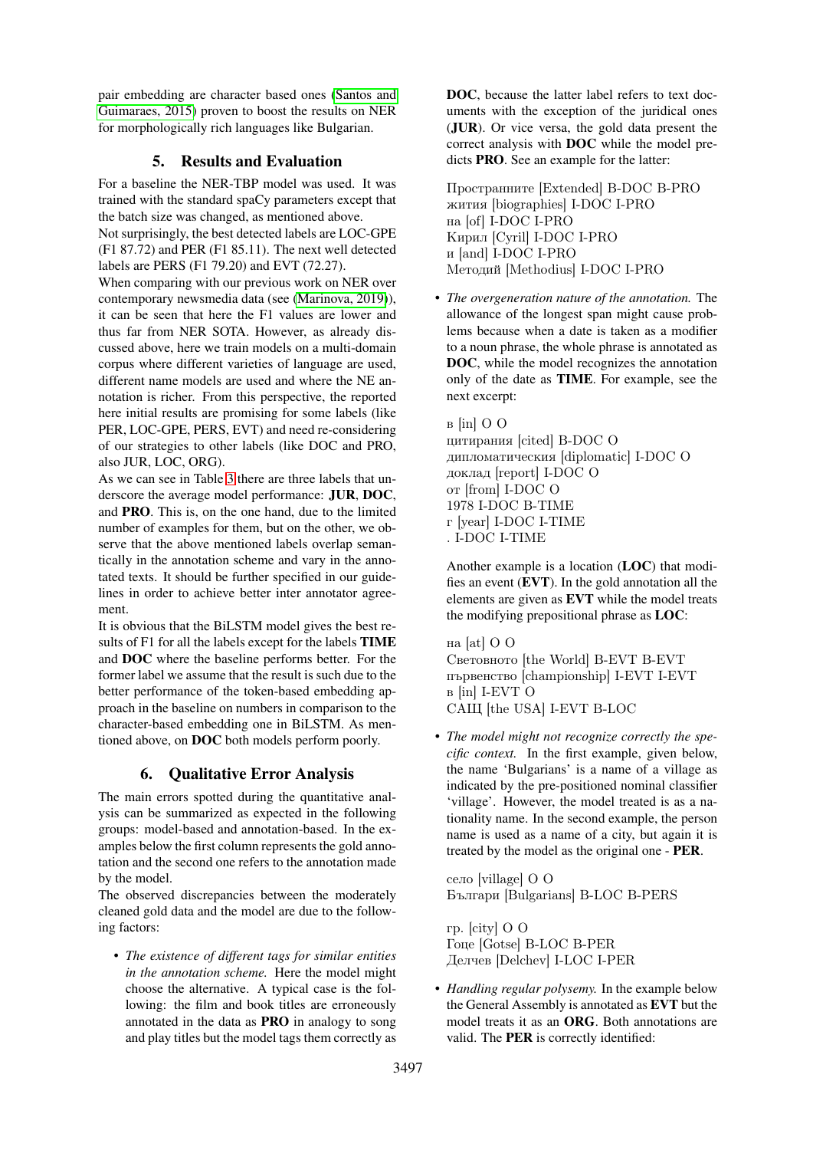pair embedding are character based ones [\(Santos and](#page-8-14) [Guimaraes, 2015\)](#page-8-14) proven to boost the results on NER for morphologically rich languages like Bulgarian.

# 5. Results and Evaluation

For a baseline the NER-TBP model was used. It was trained with the standard spaCy parameters except that the batch size was changed, as mentioned above.

Not surprisingly, the best detected labels are LOC-GPE (F1 87.72) and PER (F1 85.11). The next well detected labels are PERS (F1 79.20) and EVT (72.27).

When comparing with our previous work on NER over contemporary newsmedia data (see [\(Marinova, 2019\)](#page-8-15)), it can be seen that here the F1 values are lower and thus far from NER SOTA. However, as already discussed above, here we train models on a multi-domain corpus where different varieties of language are used, different name models are used and where the NE annotation is richer. From this perspective, the reported here initial results are promising for some labels (like PER, LOC-GPE, PERS, EVT) and need re-considering of our strategies to other labels (like DOC and PRO, also JUR, LOC, ORG).

As we can see in Table [3](#page-7-2) there are three labels that underscore the average model performance: JUR, DOC, and PRO. This is, on the one hand, due to the limited number of examples for them, but on the other, we observe that the above mentioned labels overlap semantically in the annotation scheme and vary in the annotated texts. It should be further specified in our guidelines in order to achieve better inter annotator agreement.

It is obvious that the BiLSTM model gives the best results of F1 for all the labels except for the labels TIME and DOC where the baseline performs better. For the former label we assume that the result is such due to the better performance of the token-based embedding approach in the baseline on numbers in comparison to the character-based embedding one in BiLSTM. As mentioned above, on DOC both models perform poorly.

# 6. Qualitative Error Analysis

The main errors spotted during the quantitative analysis can be summarized as expected in the following groups: model-based and annotation-based. In the examples below the first column represents the gold annotation and the second one refers to the annotation made by the model.

The observed discrepancies between the moderately cleaned gold data and the model are due to the following factors:

• *The existence of different tags for similar entities in the annotation scheme.* Here the model might choose the alternative. A typical case is the following: the film and book titles are erroneously annotated in the data as PRO in analogy to song and play titles but the model tags them correctly as

DOC, because the latter label refers to text documents with the exception of the juridical ones (JUR). Or vice versa, the gold data present the correct analysis with DOC while the model predicts PRO. See an example for the latter:

Пространните [Extended] B-DOC B-PRO жития [biographies] I-DOC I-PRO на [of] I-DOC I-PRO Кирил [Cyril] I-DOC I-PRO и [and] I-DOC I-PRO Методий [Methodius] I-DOC I-PRO

• *The overgeneration nature of the annotation.* The allowance of the longest span might cause problems because when a date is taken as a modifier to a noun phrase, the whole phrase is annotated as DOC, while the model recognizes the annotation only of the date as TIME. For example, see the next excerpt:

в [in] O O цитирания [cited] B-DOC O дипломатическия [diplomatic] I-DOC O доклад [report] I-DOC O от [from] I-DOC O 1978 I-DOC B-TIME г [year] I-DOC I-TIME . I-DOC I-TIME

Another example is a location (LOC) that modifies an event (EVT). In the gold annotation all the elements are given as EVT while the model treats the modifying prepositional phrase as LOC:

на [at] O O Световното [the World] B-EVT B-EVT първенство [championship] I-EVT I-EVT в [in] I-EVT O САЩ [the USA] I-EVT B-LOC

• *The model might not recognize correctly the specific context.* In the first example, given below, the name 'Bulgarians' is a name of a village as indicated by the pre-positioned nominal classifier 'village'. However, the model treated is as a nationality name. In the second example, the person name is used as a name of a city, but again it is treated by the model as the original one - PER.

село [village] O O Българи [Bulgarians] B-LOC B-PERS

гр. [city] O O Гоце [Gotse] B-LOC B-PER Делчев [Delchev] I-LOC I-PER

• *Handling regular polysemy.* In the example below the General Assembly is annotated as EVT but the model treats it as an ORG. Both annotations are valid. The PER is correctly identified: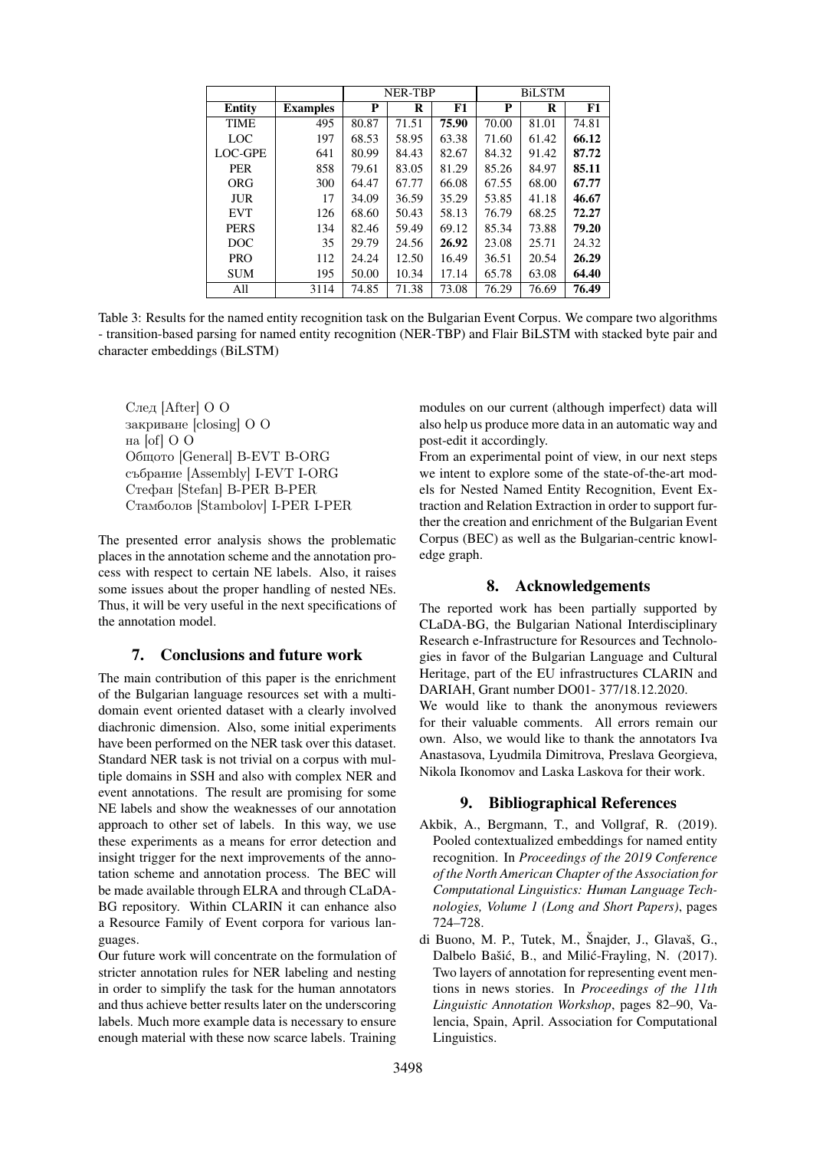|               |                 | NER-TBP |       |       | <b>BiLSTM</b> |       |       |
|---------------|-----------------|---------|-------|-------|---------------|-------|-------|
| <b>Entity</b> | <b>Examples</b> | P       | R     | F1    | P             | R     | F1    |
| <b>TIME</b>   | 495             | 80.87   | 71.51 | 75.90 | 70.00         | 81.01 | 74.81 |
| LOC           | 197             | 68.53   | 58.95 | 63.38 | 71.60         | 61.42 | 66.12 |
| LOC-GPE       | 641             | 80.99   | 84.43 | 82.67 | 84.32         | 91.42 | 87.72 |
| <b>PER</b>    | 858             | 79.61   | 83.05 | 81.29 | 85.26         | 84.97 | 85.11 |
| ORG           | 300             | 64.47   | 67.77 | 66.08 | 67.55         | 68.00 | 67.77 |
| JUR.          | 17              | 34.09   | 36.59 | 35.29 | 53.85         | 41.18 | 46.67 |
| <b>EVT</b>    | 126             | 68.60   | 50.43 | 58.13 | 76.79         | 68.25 | 72.27 |
| <b>PERS</b>   | 134             | 82.46   | 59.49 | 69.12 | 85.34         | 73.88 | 79.20 |
| DOC.          | 35              | 29.79   | 24.56 | 26.92 | 23.08         | 25.71 | 24.32 |
| <b>PRO</b>    | 112             | 24.24   | 12.50 | 16.49 | 36.51         | 20.54 | 26.29 |
| <b>SUM</b>    | 195             | 50.00   | 10.34 | 17.14 | 65.78         | 63.08 | 64.40 |
| All           | 3114            | 74.85   | 71.38 | 73.08 | 76.29         | 76.69 | 76.49 |

<span id="page-7-2"></span>Table 3: Results for the named entity recognition task on the Bulgarian Event Corpus. We compare two algorithms - transition-based parsing for named entity recognition (NER-TBP) and Flair BiLSTM with stacked byte pair and character embeddings (BiLSTM)

След [After] O O закриване [closing] O O на [of] O O Общото [General] B-EVT B-ORG събрание [Assembly] I-EVT I-ORG Стефан [Stefan] B-PER B-PER Стамболов [Stambolov] I-PER I-PER

The presented error analysis shows the problematic places in the annotation scheme and the annotation process with respect to certain NE labels. Also, it raises some issues about the proper handling of nested NEs. Thus, it will be very useful in the next specifications of the annotation model.

## 7. Conclusions and future work

The main contribution of this paper is the enrichment of the Bulgarian language resources set with a multidomain event oriented dataset with a clearly involved diachronic dimension. Also, some initial experiments have been performed on the NER task over this dataset. Standard NER task is not trivial on a corpus with multiple domains in SSH and also with complex NER and event annotations. The result are promising for some NE labels and show the weaknesses of our annotation approach to other set of labels. In this way, we use these experiments as a means for error detection and insight trigger for the next improvements of the annotation scheme and annotation process. The BEC will be made available through ELRA and through CLaDA-BG repository. Within CLARIN it can enhance also a Resource Family of Event corpora for various languages.

Our future work will concentrate on the formulation of stricter annotation rules for NER labeling and nesting in order to simplify the task for the human annotators and thus achieve better results later on the underscoring labels. Much more example data is necessary to ensure enough material with these now scarce labels. Training modules on our current (although imperfect) data will also help us produce more data in an automatic way and post-edit it accordingly.

From an experimental point of view, in our next steps we intent to explore some of the state-of-the-art models for Nested Named Entity Recognition, Event Extraction and Relation Extraction in order to support further the creation and enrichment of the Bulgarian Event Corpus (BEC) as well as the Bulgarian-centric knowledge graph.

## 8. Acknowledgements

The reported work has been partially supported by CLaDA-BG, the Bulgarian National Interdisciplinary Research e-Infrastructure for Resources and Technologies in favor of the Bulgarian Language and Cultural Heritage, part of the EU infrastructures CLARIN and DARIAH, Grant number DO01- 377/18.12.2020. We would like to thank the anonymous reviewers for their valuable comments. All errors remain our own. Also, we would like to thank the annotators Iva Anastasova, Lyudmila Dimitrova, Preslava Georgieva, Nikola Ikonomov and Laska Laskova for their work.

## 9. Bibliographical References

- <span id="page-7-1"></span>Akbik, A., Bergmann, T., and Vollgraf, R. (2019). Pooled contextualized embeddings for named entity recognition. In *Proceedings of the 2019 Conference of the North American Chapter of the Association for Computational Linguistics: Human Language Technologies, Volume 1 (Long and Short Papers)*, pages 724–728.
- <span id="page-7-0"></span>di Buono, M. P., Tutek, M., Šnajder, J., Glavaš, G., Dalbelo Bašić, B., and Milić-Frayling, N. (2017). Two layers of annotation for representing event mentions in news stories. In *Proceedings of the 11th Linguistic Annotation Workshop*, pages 82–90, Valencia, Spain, April. Association for Computational Linguistics.